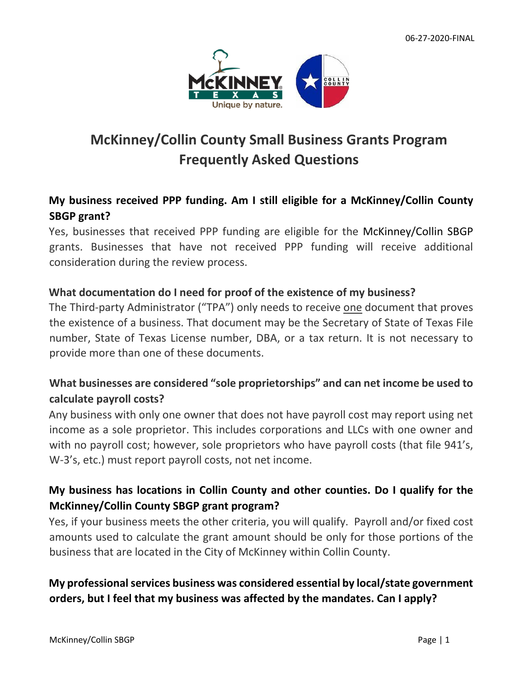

# **McKinney/Collin County Small Business Grants Program Frequently Asked Questions**

# **My business received PPP funding. Am I still eligible for a McKinney/Collin County SBGP grant?**

Yes, businesses that received PPP funding are eligible for the McKinney/Collin SBGP grants. Businesses that have not received PPP funding will receive additional consideration during the review process.

#### **What documentation do I need for proof of the existence of my business?**

The Third-party Administrator ("TPA") only needs to receive one document that proves the existence of a business. That document may be the Secretary of State of Texas File number, State of Texas License number, DBA, or a tax return. It is not necessary to provide more than one of these documents.

# **What businesses are considered "sole proprietorships" and can net income be used to calculate payroll costs?**

Any business with only one owner that does not have payroll cost may report using net income as a sole proprietor. This includes corporations and LLCs with one owner and with no payroll cost; however, sole proprietors who have payroll costs (that file 941's, W-3's, etc.) must report payroll costs, not net income.

# **My business has locations in Collin County and other counties. Do I qualify for the McKinney/Collin County SBGP grant program?**

Yes, if your business meets the other criteria, you will qualify. Payroll and/or fixed cost amounts used to calculate the grant amount should be only for those portions of the business that are located in the City of McKinney within Collin County.

# **My professional services business was considered essential by local/state government orders, but I feel that my business was affected by the mandates. Can I apply?**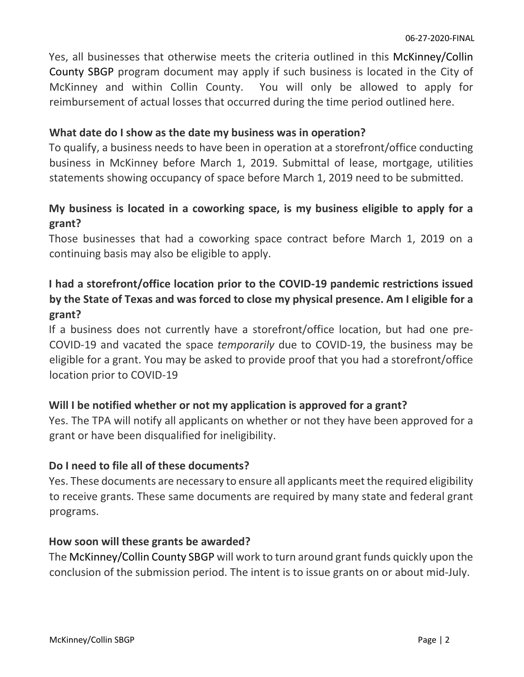Yes, all businesses that otherwise meets the criteria outlined in this McKinney/Collin County SBGP program document may apply if such business is located in the City of McKinney and within Collin County. You will only be allowed to apply for reimbursement of actual losses that occurred during the time period outlined here.

#### **What date do I show as the date my business was in operation?**

To qualify, a business needs to have been in operation at a storefront/office conducting business in McKinney before March 1, 2019. Submittal of lease, mortgage, utilities statements showing occupancy of space before March 1, 2019 need to be submitted.

### **My business is located in a coworking space, is my business eligible to apply for a grant?**

Those businesses that had a coworking space contract before March 1, 2019 on a continuing basis may also be eligible to apply.

# **I had a storefront/office location prior to the COVID-19 pandemic restrictions issued by the State of Texas and was forced to close my physical presence. Am I eligible for a grant?**

If a business does not currently have a storefront/office location, but had one pre-COVID-19 and vacated the space *temporarily* due to COVID-19, the business may be eligible for a grant. You may be asked to provide proof that you had a storefront/office location prior to COVID-19

### **Will I be notified whether or not my application is approved for a grant?**

Yes. The TPA will notify all applicants on whether or not they have been approved for a grant or have been disqualified for ineligibility.

#### **Do I need to file all of these documents?**

Yes. These documents are necessary to ensure all applicants meet the required eligibility to receive grants. These same documents are required by many state and federal grant programs.

#### **How soon will these grants be awarded?**

The McKinney/Collin County SBGP will work to turn around grant funds quickly upon the conclusion of the submission period. The intent is to issue grants on or about mid-July.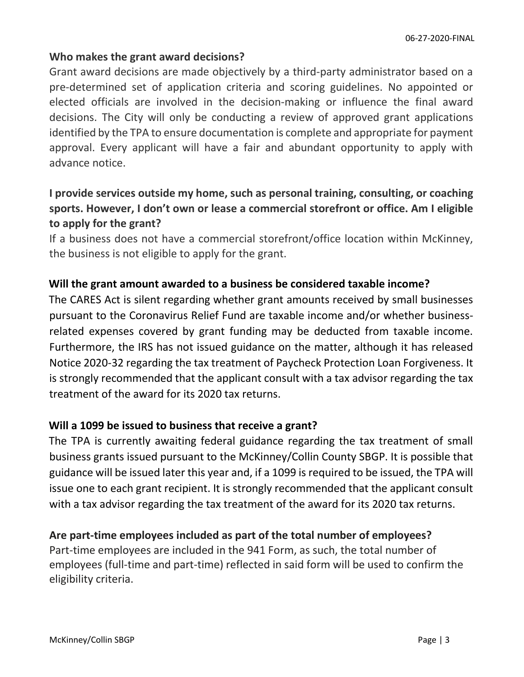#### **Who makes the grant award decisions?**

Grant award decisions are made objectively by a third-party administrator based on a pre-determined set of application criteria and scoring guidelines. No appointed or elected officials are involved in the decision-making or influence the final award decisions. The City will only be conducting a review of approved grant applications identified by the TPA to ensure documentation is complete and appropriate for payment approval. Every applicant will have a fair and abundant opportunity to apply with advance notice.

# **I provide services outside my home, such as personal training, consulting, or coaching sports. However, I don't own or lease a commercial storefront or office. Am I eligible to apply for the grant?**

If a business does not have a commercial storefront/office location within McKinney, the business is not eligible to apply for the grant.

#### **Will the grant amount awarded to a business be considered taxable income?**

The CARES Act is silent regarding whether grant amounts received by small businesses pursuant to the Coronavirus Relief Fund are taxable income and/or whether businessrelated expenses covered by grant funding may be deducted from taxable income. Furthermore, the IRS has not issued guidance on the matter, although it has released Notice 2020-32 regarding the tax treatment of Paycheck Protection Loan Forgiveness. It is strongly recommended that the applicant consult with a tax advisor regarding the tax treatment of the award for its 2020 tax returns.

#### **Will a 1099 be issued to business that receive a grant?**

The TPA is currently awaiting federal guidance regarding the tax treatment of small business grants issued pursuant to the McKinney/Collin County SBGP. It is possible that guidance will be issued later this year and, if a 1099 is required to be issued, the TPA will issue one to each grant recipient. It is strongly recommended that the applicant consult with a tax advisor regarding the tax treatment of the award for its 2020 tax returns.

#### **Are part-time employees included as part of the total number of employees?**

Part-time employees are included in the 941 Form, as such, the total number of employees (full-time and part-time) reflected in said form will be used to confirm the eligibility criteria.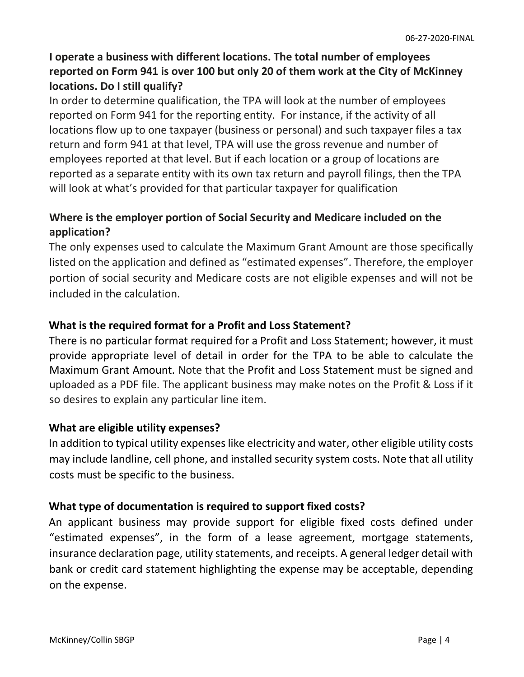# **I operate a business with different locations. The total number of employees reported on Form 941 is over 100 but only 20 of them work at the City of McKinney locations. Do I still qualify?**

In order to determine qualification, the TPA will look at the number of employees reported on Form 941 for the reporting entity. For instance, if the activity of all locations flow up to one taxpayer (business or personal) and such taxpayer files a tax return and form 941 at that level, TPA will use the gross revenue and number of employees reported at that level. But if each location or a group of locations are reported as a separate entity with its own tax return and payroll filings, then the TPA will look at what's provided for that particular taxpayer for qualification

### **Where is the employer portion of Social Security and Medicare included on the application?**

The only expenses used to calculate the Maximum Grant Amount are those specifically listed on the application and defined as "estimated expenses". Therefore, the employer portion of social security and Medicare costs are not eligible expenses and will not be included in the calculation.

#### **What is the required format for a Profit and Loss Statement?**

There is no particular format required for a Profit and Loss Statement; however, it must provide appropriate level of detail in order for the TPA to be able to calculate the Maximum Grant Amount. Note that the Profit and Loss Statement must be signed and uploaded as a PDF file. The applicant business may make notes on the Profit & Loss if it so desires to explain any particular line item.

#### **What are eligible utility expenses?**

In addition to typical utility expenses like electricity and water, other eligible utility costs may include landline, cell phone, and installed security system costs. Note that all utility costs must be specific to the business.

#### **What type of documentation is required to support fixed costs?**

An applicant business may provide support for eligible fixed costs defined under "estimated expenses", in the form of a lease agreement, mortgage statements, insurance declaration page, utility statements, and receipts. A general ledger detail with bank or credit card statement highlighting the expense may be acceptable, depending on the expense.